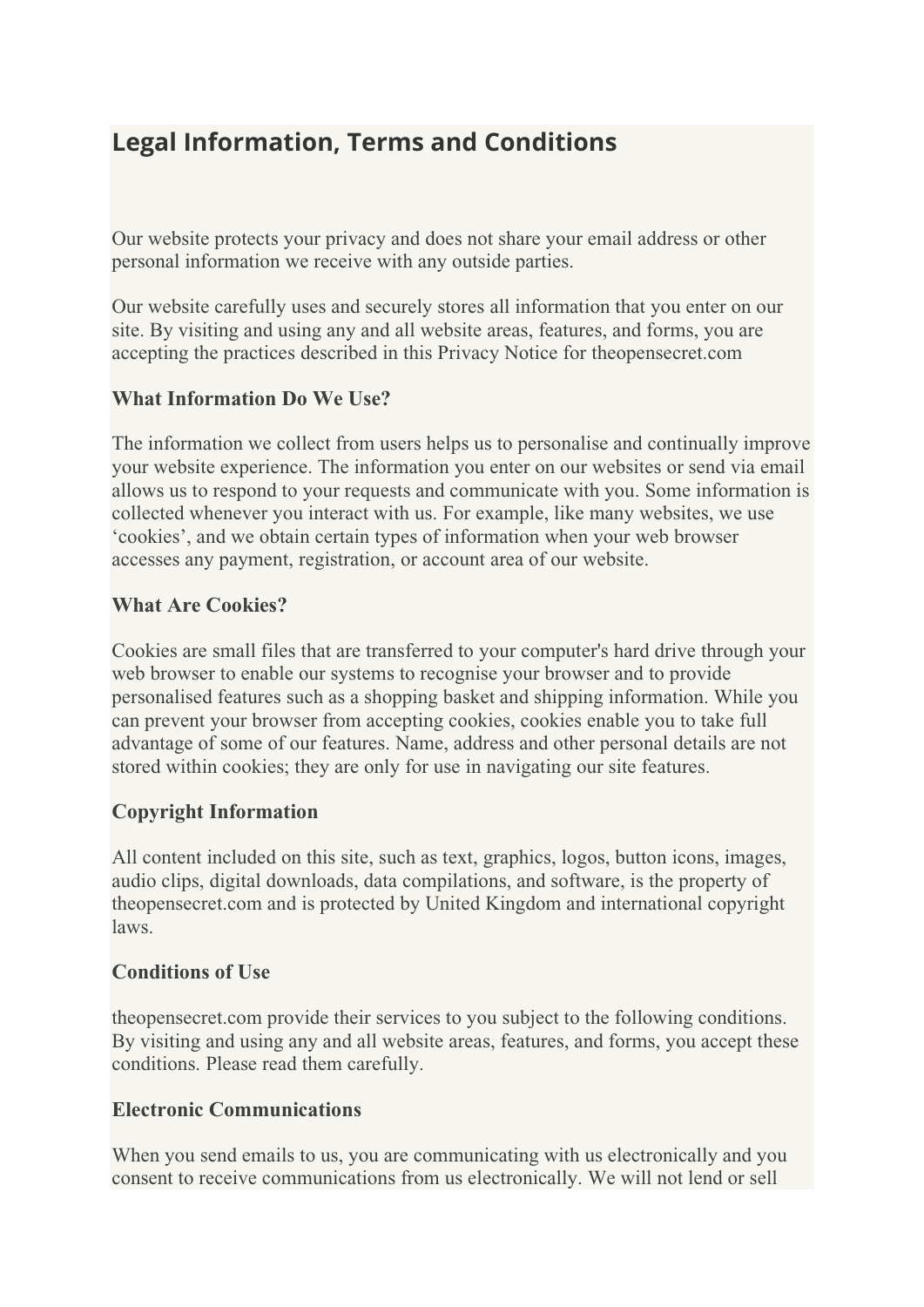# **Legal Information, Terms and Conditions**

Our website protects your privacy and does not share your email address or other personal information we receive with any outside parties.

Our website carefully uses and securely stores all information that you enter on our site. By visiting and using any and all website areas, features, and forms, you are accepting the practices described in this Privacy Notice for theopensecret.com

# **What Information Do We Use?**

The information we collect from users helps us to personalise and continually improve your website experience. The information you enter on our websites or send via email allows us to respond to your requests and communicate with you. Some information is collected whenever you interact with us. For example, like many websites, we use 'cookies', and we obtain certain types of information when your web browser accesses any payment, registration, or account area of our website.

# **What Are Cookies?**

Cookies are small files that are transferred to your computer's hard drive through your web browser to enable our systems to recognise your browser and to provide personalised features such as a shopping basket and shipping information. While you can prevent your browser from accepting cookies, cookies enable you to take full advantage of some of our features. Name, address and other personal details are not stored within cookies; they are only for use in navigating our site features.

# **Copyright Information**

All content included on this site, such as text, graphics, logos, button icons, images, audio clips, digital downloads, data compilations, and software, is the property of theopensecret.com and is protected by United Kingdom and international copyright laws.

## **Conditions of Use**

theopensecret.com provide their services to you subject to the following conditions. By visiting and using any and all website areas, features, and forms, you accept these conditions. Please read them carefully.

## **Electronic Communications**

When you send emails to us, you are communicating with us electronically and you consent to receive communications from us electronically. We will not lend or sell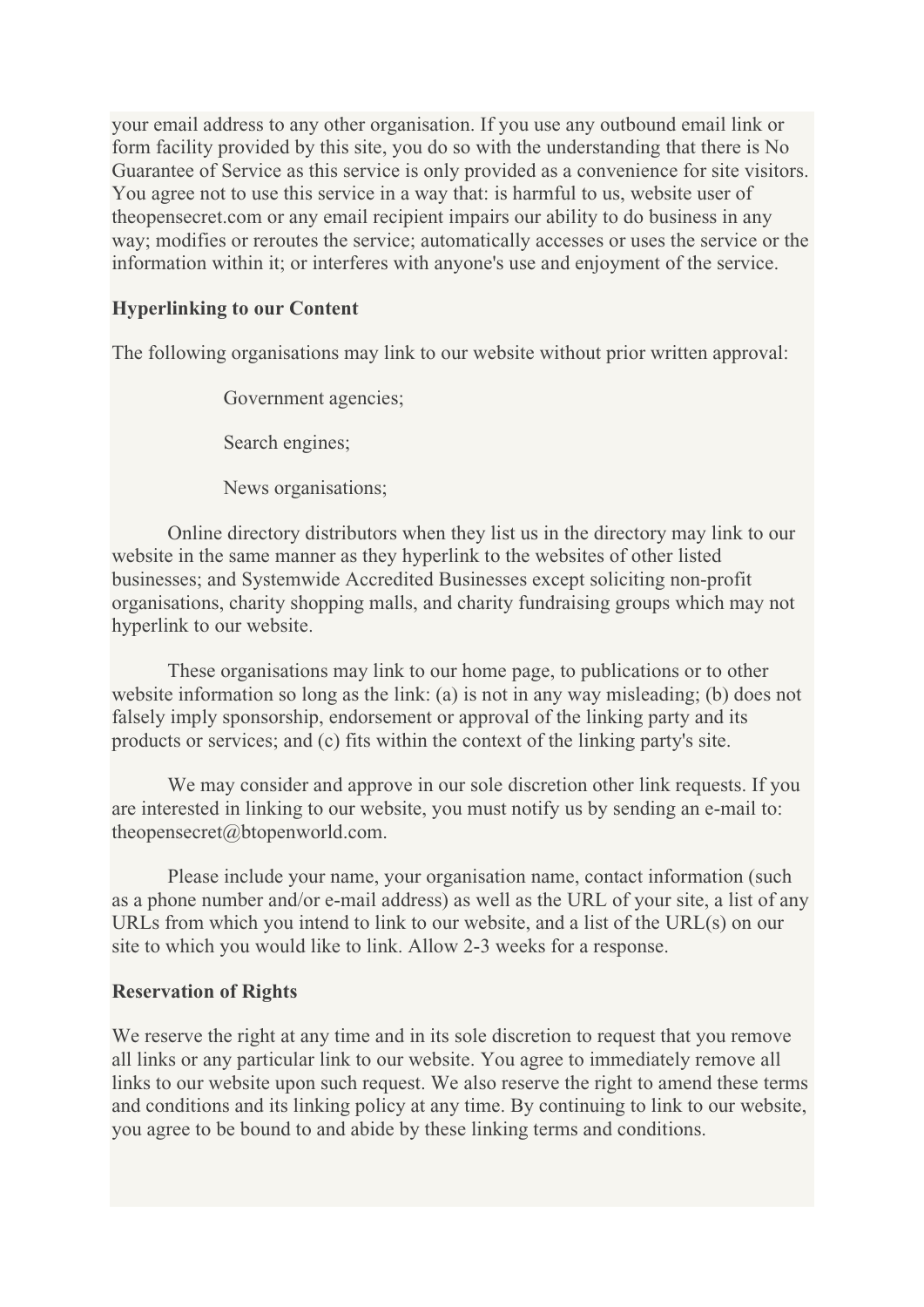your email address to any other organisation. If you use any outbound email link or form facility provided by this site, you do so with the understanding that there is No Guarantee of Service as this service is only provided as a convenience for site visitors. You agree not to use this service in a way that: is harmful to us, website user of theopensecret.com or any email recipient impairs our ability to do business in any way; modifies or reroutes the service; automatically accesses or uses the service or the information within it; or interferes with anyone's use and enjoyment of the service.

#### **Hyperlinking to our Content**

The following organisations may link to our website without prior written approval:

Government agencies;

Search engines;

News organisations;

Online directory distributors when they list us in the directory may link to our website in the same manner as they hyperlink to the websites of other listed businesses; and Systemwide Accredited Businesses except soliciting non-profit organisations, charity shopping malls, and charity fundraising groups which may not hyperlink to our website.

These organisations may link to our home page, to publications or to other website information so long as the link: (a) is not in any way misleading; (b) does not falsely imply sponsorship, endorsement or approval of the linking party and its products or services; and (c) fits within the context of the linking party's site.

We may consider and approve in our sole discretion other link requests. If you are interested in linking to our website, you must notify us by sending an e-mail to: theopensecret@btopenworld.com.

Please include your name, your organisation name, contact information (such as a phone number and/or e-mail address) as well as the URL of your site, a list of any URLs from which you intend to link to our website, and a list of the URL(s) on our site to which you would like to link. Allow 2-3 weeks for a response.

#### **Reservation of Rights**

We reserve the right at any time and in its sole discretion to request that you remove all links or any particular link to our website. You agree to immediately remove all links to our website upon such request. We also reserve the right to amend these terms and conditions and its linking policy at any time. By continuing to link to our website, you agree to be bound to and abide by these linking terms and conditions.